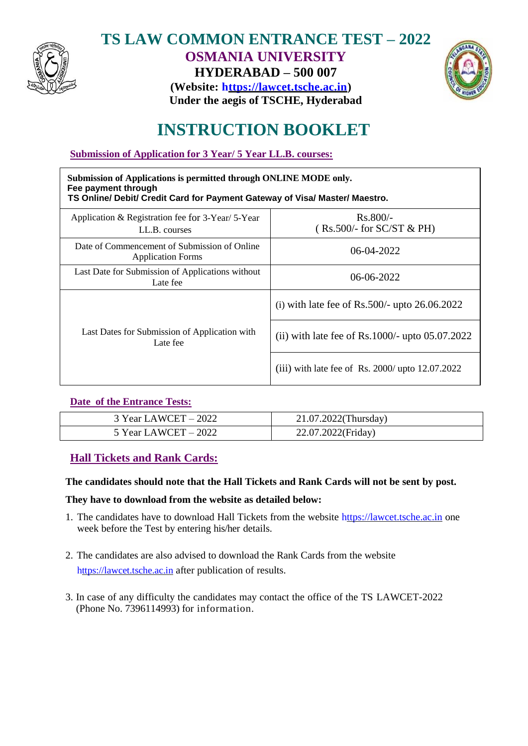

## **TS LAW COMMON ENTRANCE TEST – 2022 OSMANIA UNIVERSITY HYDERABAD – 500 007**



**(Website: https://lawcet.tsche.ac.in) Under the aegis of TSCHE, Hyderabad**

# **INSTRUCTION BOOKLET**

**Submission of Application for 3 Year/ 5 Year LL.B. courses:**

| Submission of Applications is permitted through ONLINE MODE only.<br>Fee payment through<br>TS Online/ Debit/ Credit Card for Payment Gateway of Visa/ Master/ Maestro. |                                                    |  |
|-------------------------------------------------------------------------------------------------------------------------------------------------------------------------|----------------------------------------------------|--|
| Application & Registration fee for $3$ -Year/ $5$ -Year<br>LL.B. courses                                                                                                | $Rs.800/-$<br>$(Rs.500/-$ for SC/ST & PH)          |  |
| Date of Commencement of Submission of Online<br><b>Application Forms</b>                                                                                                | $06-04-2022$                                       |  |
| Last Date for Submission of Applications without<br>Late fee                                                                                                            | $06-06-2022$                                       |  |
| Last Dates for Submission of Application with<br>Late fee                                                                                                               | (i) with late fee of Rs.500/- upto $26.06.2022$    |  |
|                                                                                                                                                                         | (ii) with late fee of Rs. $1000/-$ upto 05.07.2022 |  |
|                                                                                                                                                                         | (iii) with late fee of Rs. 2000/ upto $12.07.2022$ |  |

## **Date of the Entrance Tests:**

| $3$ Year LAWCET $-2022$ | 21.07.2022(Thursday) |
|-------------------------|----------------------|
| 5 Year LAWCET $-2022$   | 22.07.2022(Friday)   |

## **Hall Tickets and Rank Cards:**

## **The candidates should note that the Hall Tickets and Rank Cards will not be sent by post.**

## **They have to download from the website as detailed below:**

- 1. The candidates have to download Hall Tickets from the website https://lawcet.tsche.ac.in one week before the Test by entering his/her details.
- 2. The candidates are also advised to download the Rank Cards from the website https://lawcet.tsche.ac.in after publication of results.
- 3. In case of any difficulty the candidates may contact the office of the TS LAWCET-2022 (Phone No. 7396114993) for information.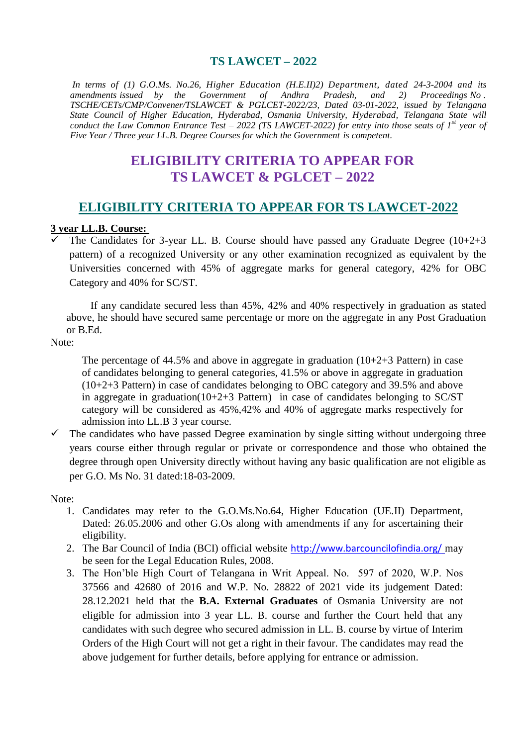#### **TS LAWCET – 2022**

*In terms of (1) G.O.Ms. No.26, Higher Education (H.E.II)2) Department, dated 24-3-2004 and its amendments issued by the Government of Andhra Pradesh, and 2) Proceedings No . TSCHE/CETs/CMP/Convener/TSLAWCET & PGLCET-2022/23, Dated 03-01-2022, issued by Telangana State Council of Higher Education, Hyderabad, Osmania University, Hyderabad, Telangana State will conduct the Law Common Entrance Test – 2022 (TS LAWCET-2022) for entry into those seats of 1<sup>st</sup> year of Five Year / Three year LL.B. Degree Courses for which the Government is competent*.

## **ELIGIBILITY CRITERIA TO APPEAR FOR TS LAWCET & PGLCET – 2022**

## **ELIGIBILITY CRITERIA TO APPEAR FOR TS LAWCET-2022**

# **3 year LL.B. Course:**

 The Candidates for 3-year LL. B. Course should have passed any Graduate Degree (10+2+3 pattern) of a recognized University or any other examination recognized as equivalent by the Universities concerned with 45% of aggregate marks for general category, 42% for OBC Category and 40% for SC/ST.

 If any candidate secured less than 45%, 42% and 40% respectively in graduation as stated above, he should have secured same percentage or more on the aggregate in any Post Graduation or B.Ed.

Note:

The percentage of 44.5% and above in aggregate in graduation (10+2+3 Pattern) in case of candidates belonging to general categories, 41.5% or above in aggregate in graduation (10+2+3 Pattern) in case of candidates belonging to OBC category and 39.5% and above in aggregate in graduation( $10+2+3$  Pattern) in case of candidates belonging to SC/ST category will be considered as 45%,42% and 40% of aggregate marks respectively for admission into LL.B 3 year course.

 $\checkmark$  The candidates who have passed Degree examination by single sitting without undergoing three years course either through regular or private or correspondence and those who obtained the degree through open University directly without having any basic qualification are not eligible as per G.O. Ms No. 31 dated:18-03-2009.

Note:

- 1. Candidates may refer to the G.O.Ms.No.64, Higher Education (UE.II) Department, Dated: 26.05.2006 and other G.Os along with amendments if any for ascertaining their eligibility.
- 2. The Bar Council of India (BCI) official website <http://www.barcouncilofindia.org/> may be seen for the Legal Education Rules, 2008.
- 3. The Hon'ble High Court of Telangana in Writ Appeal. No. 597 of 2020, W.P. Nos 37566 and 42680 of 2016 and W.P. No. 28822 of 2021 vide its judgement Dated: 28.12.2021 held that the **B.A. External Graduates** of Osmania University are not eligible for admission into 3 year LL. B. course and further the Court held that any candidates with such degree who secured admission in LL. B. course by virtue of Interim Orders of the High Court will not get a right in their favour. The candidates may read the above judgement for further details, before applying for entrance or admission.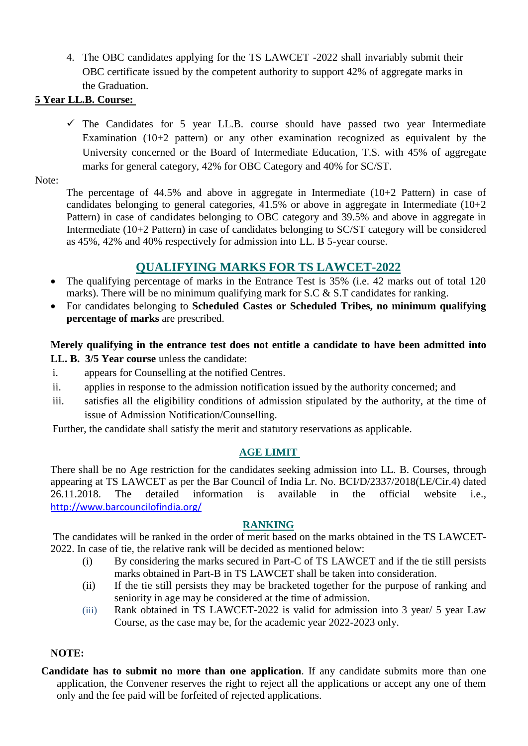4. The OBC candidates applying for the TS LAWCET -2022 shall invariably submit their OBC certificate issued by the competent authority to support 42% of aggregate marks in the Graduation.

## **5 Year LL.B. Course:**

 $\checkmark$  The Candidates for 5 year LL.B. course should have passed two year Intermediate Examination (10+2 pattern) or any other examination recognized as equivalent by the University concerned or the Board of Intermediate Education, T.S. with 45% of aggregate marks for general category, 42% for OBC Category and 40% for SC/ST.

Note:

The percentage of 44.5% and above in aggregate in Intermediate (10+2 Pattern) in case of candidates belonging to general categories,  $41.5\%$  or above in aggregate in Intermediate ( $10+2$ ) Pattern) in case of candidates belonging to OBC category and 39.5% and above in aggregate in Intermediate (10+2 Pattern) in case of candidates belonging to SC/ST category will be considered as 45%, 42% and 40% respectively for admission into LL. B 5-year course.

## **QUALIFYING MARKS FOR TS LAWCET-2022**

- The qualifying percentage of marks in the Entrance Test is 35% (i.e. 42 marks out of total 120) marks). There will be no minimum qualifying mark for S.C & S.T candidates for ranking.
- For candidates belonging to **Scheduled Castes or Scheduled Tribes, no minimum qualifying percentage of marks** are prescribed.

## **Merely qualifying in the entrance test does not entitle a candidate to have been admitted into LL. B. 3/5 Year course** unless the candidate:

- i. appears for Counselling at the notified Centres.
- ii. applies in response to the admission notification issued by the authority concerned; and
- iii. satisfies all the eligibility conditions of admission stipulated by the authority, at the time of issue of Admission Notification/Counselling.

Further, the candidate shall satisfy the merit and statutory reservations as applicable.

## **AGE LIMIT**

There shall be no Age restriction for the candidates seeking admission into LL. B. Courses, through appearing at TS LAWCET as per the Bar Council of India Lr. No. BCI/D/2337/2018(LE/Cir.4) dated 26.11.2018. The detailed information is available in the official website i.e., <http://www.barcouncilofindia.org/>

## **RANKING**

The candidates will be ranked in the order of merit based on the marks obtained in the TS LAWCET-2022. In case of tie, the relative rank will be decided as mentioned below:

- (i) By considering the marks secured in Part-C of TS LAWCET and if the tie still persists marks obtained in Part-B in TS LAWCET shall be taken into consideration.
- (ii) If the tie still persists they may be bracketed together for the purpose of ranking and seniority in age may be considered at the time of admission.
- (iii) Rank obtained in TS LAWCET-2022 is valid for admission into 3 year/ 5 year Law Course, as the case may be, for the academic year 2022-2023 only.

## **NOTE:**

**Candidate has to submit no more than one application**. If any candidate submits more than one application, the Convener reserves the right to reject all the applications or accept any one of them only and the fee paid will be forfeited of rejected applications.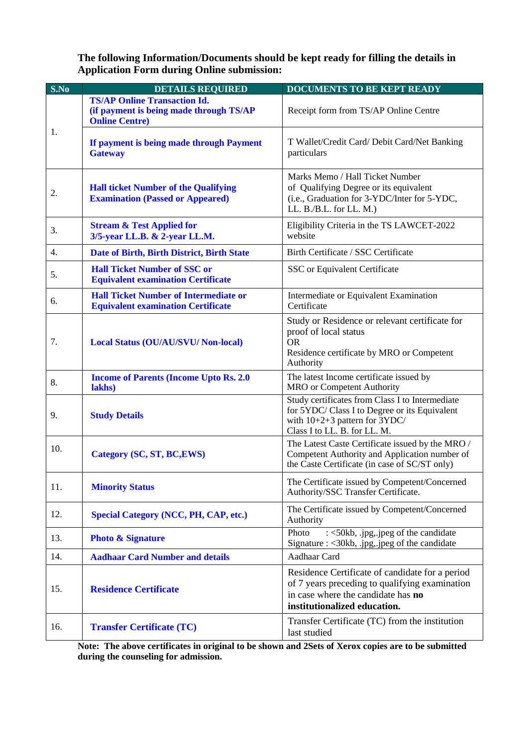**The following Information/Documents should be kept ready for filling the details in Application Form during Online submission:**

| S.No             | <b>DETAILS REQUIRED</b>                                                                                 | <b>DOCUMENTS TO BE KEPT READY</b>                                                                                                                                       |
|------------------|---------------------------------------------------------------------------------------------------------|-------------------------------------------------------------------------------------------------------------------------------------------------------------------------|
| 1.               | <b>TS/AP Online Transaction Id.</b><br>(if payment is being made through TS/AP<br><b>Online Centre)</b> | Receipt form from TS/AP Online Centre                                                                                                                                   |
|                  | If payment is being made through Payment<br><b>Gateway</b>                                              | T Wallet/Credit Card/ Debit Card/Net Banking<br>particulars                                                                                                             |
| 2.               | <b>Hall ticket Number of the Qualifying</b><br><b>Examination (Passed or Appeared)</b>                  | Marks Memo / Hall Ticket Number<br>of Qualifying Degree or its equivalent<br>(i.e., Graduation for 3-YDC/Inter for 5-YDC,<br>LL. B./B.L. for LL. M.)                    |
| 3.               | <b>Stream &amp; Test Applied for</b><br>3/5-year LL.B. & 2-year LL.M.                                   | Eligibility Criteria in the TS LAWCET-2022<br>website                                                                                                                   |
| $\overline{4}$ . | Date of Birth, Birth District, Birth State                                                              | Birth Certificate / SSC Certificate                                                                                                                                     |
| 5.               | <b>Hall Ticket Number of SSC or</b><br><b>Equivalent examination Certificate</b>                        | SSC or Equivalent Certificate                                                                                                                                           |
| 6.               | <b>Hall Ticket Number of Intermediate or</b><br><b>Equivalent examination Certificate</b>               | Intermediate or Equivalent Examination<br>Certificate                                                                                                                   |
| 7.               | <b>Local Status (OU/AU/SVU/ Non-local)</b>                                                              | Study or Residence or relevant certificate for<br>proof of local status<br><b>OR</b><br>Residence certificate by MRO or Competent<br>Authority                          |
| 8.               | <b>Income of Parents (Income Upto Rs. 2.0)</b><br>lakhs)                                                | The latest Income certificate issued by<br>MRO or Competent Authority                                                                                                   |
| 9.               | <b>Study Details</b>                                                                                    | Study certificates from Class I to Intermediate<br>for 5YDC/ Class I to Degree or its Equivalent<br>with $10+2+3$ pattern for $3YDC/$<br>Class I to LL. B. for LL. M.   |
| 10.              | Category (SC, ST, BC, EWS)                                                                              | The Latest Caste Certificate issued by the MRO /<br>Competent Authority and Application number of<br>the Caste Certificate (in case of SC/ST only)                      |
| 11.              | <b>Minority Status</b>                                                                                  | The Certificate issued by Competent/Concerned<br>Authority/SSC Transfer Certificate.                                                                                    |
| 12.              | <b>Special Category (NCC, PH, CAP, etc.)</b>                                                            | The Certificate issued by Competent/Concerned<br>Authority                                                                                                              |
| 13.              | <b>Photo &amp; Signature</b>                                                                            | : $\langle$ 50kb, .jpg, .jpeg of the candidate<br>Photo<br>Signature : $\langle 30kb, jpg, jpeg \rangle$ of the candidate                                               |
| 14.              | <b>Aadhaar Card Number and details</b>                                                                  | Aadhaar Card                                                                                                                                                            |
| 15.              | <b>Residence Certificate</b>                                                                            | Residence Certificate of candidate for a period<br>of 7 years preceding to qualifying examination<br>in case where the candidate has no<br>institutionalized education. |
| 16.              | <b>Transfer Certificate (TC)</b>                                                                        | Transfer Certificate (TC) from the institution<br>last studied                                                                                                          |

**Note: The above certificates in original to be shown and 2Sets of Xerox copies are to be submitted during the counseling for admission.**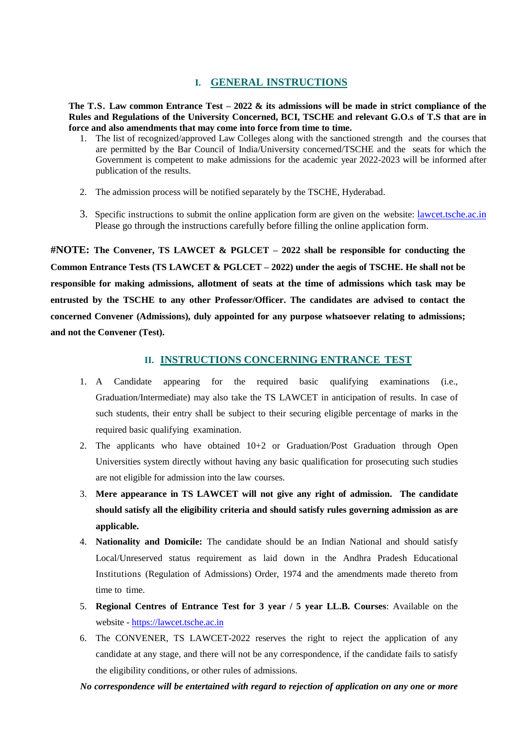#### **I. GENERAL INSTRUCTIONS**

**The T.S. Law common Entrance Test – 2022 & its admissions will be made in strict compliance of the Rules and Regulations of the University Concerned, BCI, TSCHE and relevant G.O.s of T.S that are in force and also amendments that may come into force from time to time.**

- 1. The list of recognized/approved Law Colleges along with the sanctioned strength and the courses that are permitted by the Bar Council of India/University concerned/TSCHE and the seats for which the Government is competent to make admissions for the academic year 2022-2023 will be informed after publication of the results.
- 2. The admission process will be notified separately by the TSCHE, Hyderabad.
- 3. Specific instructions to submit the online application form are given on the website: lawcet.tsche.ac.in Please go through the instructions carefully before filling the online application form.

**#NOTE: The Convener, TS LAWCET & PGLCET – 2022 shall be responsible for conducting the Common Entrance Tests (TS LAWCET & PGLCET – 2022) under the aegis of TSCHE. He shall not be responsible for making admissions, allotment of seats at the time of admissions which task may be entrusted by the TSCHE to any other Professor/Officer. The candidates are advised to contact the concerned Convener (Admissions), duly appointed for any purpose whatsoever relating to admissions; and not the Convener (Test).**

#### **II. INSTRUCTIONS CONCERNING ENTRANCE TEST**

- 1. A Candidate appearing for the required basic qualifying examinations (i.e., Graduation/Intermediate) may also take the TS LAWCET in anticipation of results. In case of such students, their entry shall be subject to their securing eligible percentage of marks in the required basic qualifying examination.
- 2. The applicants who have obtained 10+2 or Graduation/Post Graduation through Open Universities system directly without having any basic qualification for prosecuting such studies are not eligible for admission into the law courses.
- 3. **Mere appearance in TS LAWCET will not give any right of admission. The candidate should satisfy all the eligibility criteria and should satisfy rules governing admission as are applicable.**
- 4. **Nationality and Domicile:** The candidate should be an Indian National and should satisfy Local/Unreserved status requirement as laid down in the Andhra Pradesh Educational Institutions (Regulation of Admissions) Order, 1974 and the amendments made thereto from time to time.
- 5. **Regional Centres of Entrance Test for 3 year / 5 year LL.B. Courses**: Available on the website - [https://lawcet.tsche.ac.in](https://lawcet.tsche.ac.in/)
- 6. The CONVENER, TS LAWCET-2022 reserves the right to reject the application of any candidate at any stage, and there will not be any correspondence, if the candidate fails to satisfy the eligibility conditions, or other rules of admissions.

#### *No correspondence will be entertained with regard to rejection of application on any one or more*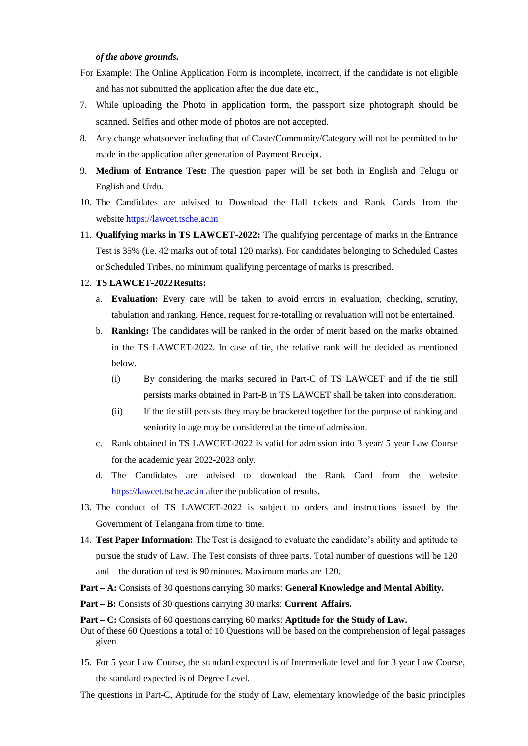#### *of the above grounds.*

- For Example: The Online Application Form is incomplete, incorrect, if the candidate is not eligible and has not submitted the application after the due date etc.,
- 7. While uploading the Photo in application form, the passport size photograph should be scanned. Selfies and other mode of photos are not accepted.
- 8. Any change whatsoever including that of Caste/Community/Category will not be permitted to be made in the application after generation of Payment Receipt.
- 9. **Medium of Entrance Test:** The question paper will be set both in English and Telugu or English and Urdu.
- 10. The Candidates are advised to Download the Hall tickets and Rank Cards from the websit[e https://lawcet.tsche.ac.in](https://lawcet.tsche.ac.in/)
- 11. **Qualifying marks in TS LAWCET-2022:** The qualifying percentage of marks in the Entrance Test is 35% (i.e. 42 marks out of total 120 marks). For candidates belonging to Scheduled Castes or Scheduled Tribes, no minimum qualifying percentage of marks is prescribed.

#### 12. **TS LAWCET-2022Results:**

- a. **Evaluation:** Every care will be taken to avoid errors in evaluation, checking, scrutiny, tabulation and ranking. Hence, request for re-totalling or revaluation will not be entertained.
- b. **Ranking:** The candidates will be ranked in the order of merit based on the marks obtained in the TS LAWCET-2022. In case of tie, the relative rank will be decided as mentioned below.
	- (i) By considering the marks secured in Part-C of TS LAWCET and if the tie still persists marks obtained in Part-B in TS LAWCET shall be taken into consideration.
	- (ii) If the tie still persists they may be bracketed together for the purpose of ranking and seniority in age may be considered at the time of admission.
- c. Rank obtained in TS LAWCET-2022 is valid for admission into 3 year/ 5 year Law Course for the academic year 2022-2023 only.
- d. The Candidates are advised to download the Rank Card from the website https://lawcet.tsche.ac.in after the publication of results.
- 13. The conduct of TS LAWCET-2022 is subject to orders and instructions issued by the Government of Telangana from time to time.
- 14. **Test Paper Information:** The Test is designed to evaluate the candidate's ability and aptitude to pursue the study of Law. The Test consists of three parts. Total number of questions will be 120 and the duration of test is 90 minutes. Maximum marks are 120.
- **Part – A:** Consists of 30 questions carrying 30 marks: **General Knowledge and Mental Ability.**
- **Part – B:** Consists of 30 questions carrying 30 marks: **Current Affairs.**

**Part – C:** Consists of 60 questions carrying 60 marks: **Aptitude for the Study of Law.**

- Out of these 60 Questions a total of 10 Questions will be based on the comprehension of legal passages given
- 15. For 5 year Law Course, the standard expected is of Intermediate level and for 3 year Law Course, the standard expected is of Degree Level.

The questions in Part-C, Aptitude for the study of Law, elementary knowledge of the basic principles